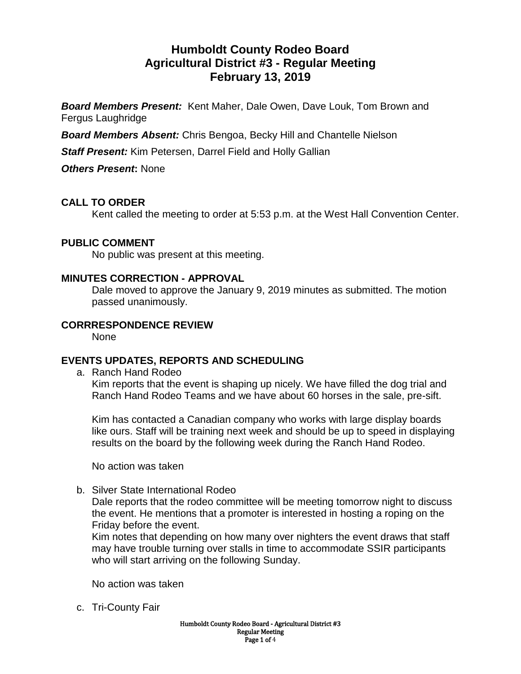# **Humboldt County Rodeo Board Agricultural District #3 - Regular Meeting February 13, 2019**

*Board Members Present:* Kent Maher, Dale Owen, Dave Louk, Tom Brown and Fergus Laughridge

*Board Members Absent:* Chris Bengoa, Becky Hill and Chantelle Nielson

*Staff Present:* Kim Petersen, Darrel Field and Holly Gallian

*Others Present***:** None

### **CALL TO ORDER**

Kent called the meeting to order at 5:53 p.m. at the West Hall Convention Center.

#### **PUBLIC COMMENT**

No public was present at this meeting.

#### **MINUTES CORRECTION - APPROVAL**

Dale moved to approve the January 9, 2019 minutes as submitted. The motion passed unanimously.

#### **CORRRESPONDENCE REVIEW**

None

### **EVENTS UPDATES, REPORTS AND SCHEDULING**

a. Ranch Hand Rodeo

Kim reports that the event is shaping up nicely. We have filled the dog trial and Ranch Hand Rodeo Teams and we have about 60 horses in the sale, pre-sift.

Kim has contacted a Canadian company who works with large display boards like ours. Staff will be training next week and should be up to speed in displaying results on the board by the following week during the Ranch Hand Rodeo.

No action was taken

b. Silver State International Rodeo

Dale reports that the rodeo committee will be meeting tomorrow night to discuss the event. He mentions that a promoter is interested in hosting a roping on the Friday before the event.

Kim notes that depending on how many over nighters the event draws that staff may have trouble turning over stalls in time to accommodate SSIR participants who will start arriving on the following Sunday.

No action was taken

c. Tri-County Fair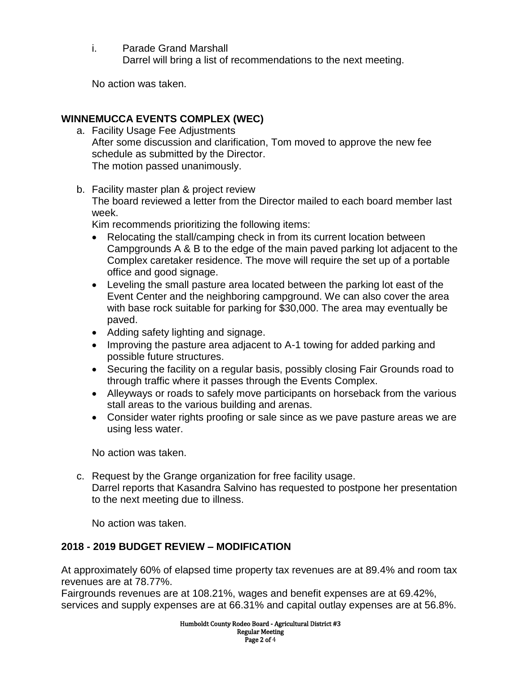i. Parade Grand Marshall Darrel will bring a list of recommendations to the next meeting.

No action was taken.

### **WINNEMUCCA EVENTS COMPLEX (WEC)**

- a. Facility Usage Fee Adjustments After some discussion and clarification, Tom moved to approve the new fee schedule as submitted by the Director. The motion passed unanimously.
- b. Facility master plan & project review

The board reviewed a letter from the Director mailed to each board member last week.

Kim recommends prioritizing the following items:

- Relocating the stall/camping check in from its current location between Campgrounds A & B to the edge of the main paved parking lot adjacent to the Complex caretaker residence. The move will require the set up of a portable office and good signage.
- Leveling the small pasture area located between the parking lot east of the Event Center and the neighboring campground. We can also cover the area with base rock suitable for parking for \$30,000. The area may eventually be paved.
- Adding safety lighting and signage.
- Improving the pasture area adjacent to A-1 towing for added parking and possible future structures.
- Securing the facility on a regular basis, possibly closing Fair Grounds road to through traffic where it passes through the Events Complex.
- Alleyways or roads to safely move participants on horseback from the various stall areas to the various building and arenas.
- Consider water rights proofing or sale since as we pave pasture areas we are using less water.

No action was taken.

c. Request by the Grange organization for free facility usage. Darrel reports that Kasandra Salvino has requested to postpone her presentation to the next meeting due to illness.

No action was taken.

### **2018 - 2019 BUDGET REVIEW – MODIFICATION**

At approximately 60% of elapsed time property tax revenues are at 89.4% and room tax revenues are at 78.77%.

Fairgrounds revenues are at 108.21%, wages and benefit expenses are at 69.42%, services and supply expenses are at 66.31% and capital outlay expenses are at 56.8%.

> Humboldt County Rodeo Board - Agricultural District #3 Regular Meeting Page 2 of 4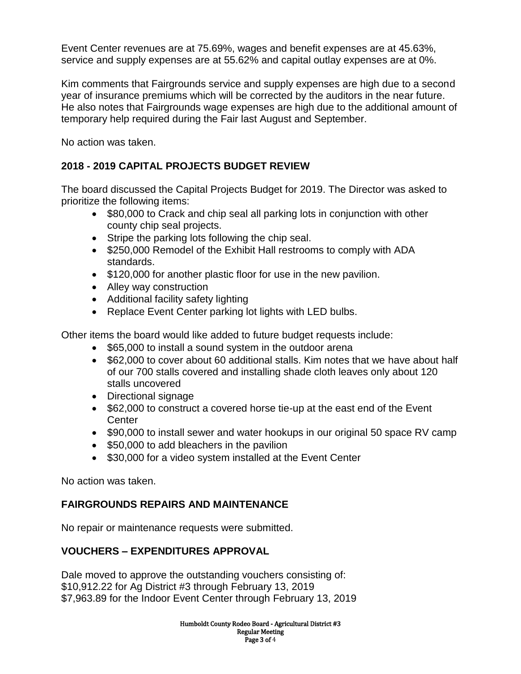Event Center revenues are at 75.69%, wages and benefit expenses are at 45.63%, service and supply expenses are at 55.62% and capital outlay expenses are at 0%.

Kim comments that Fairgrounds service and supply expenses are high due to a second year of insurance premiums which will be corrected by the auditors in the near future. He also notes that Fairgrounds wage expenses are high due to the additional amount of temporary help required during the Fair last August and September.

No action was taken.

### **2018 - 2019 CAPITAL PROJECTS BUDGET REVIEW**

The board discussed the Capital Projects Budget for 2019. The Director was asked to prioritize the following items:

- \$80,000 to Crack and chip seal all parking lots in conjunction with other county chip seal projects.
- Stripe the parking lots following the chip seal.
- \$250,000 Remodel of the Exhibit Hall restrooms to comply with ADA standards.
- $\bullet$  \$120,000 for another plastic floor for use in the new pavilion.
- Alley way construction
- Additional facility safety lighting
- Replace Event Center parking lot lights with LED bulbs.

Other items the board would like added to future budget requests include:

- \$65,000 to install a sound system in the outdoor arena
- \$62,000 to cover about 60 additional stalls. Kim notes that we have about half of our 700 stalls covered and installing shade cloth leaves only about 120 stalls uncovered
- Directional signage
- \$62,000 to construct a covered horse tie-up at the east end of the Event **Center**
- \$90,000 to install sewer and water hookups in our original 50 space RV camp
- \$50,000 to add bleachers in the pavilion
- \$30,000 for a video system installed at the Event Center

No action was taken.

### **FAIRGROUNDS REPAIRS AND MAINTENANCE**

No repair or maintenance requests were submitted.

## **VOUCHERS – EXPENDITURES APPROVAL**

Dale moved to approve the outstanding vouchers consisting of: \$10,912.22 for Ag District #3 through February 13, 2019 \$7,963.89 for the Indoor Event Center through February 13, 2019

> Humboldt County Rodeo Board - Agricultural District #3 Regular Meeting Page 3 of 4